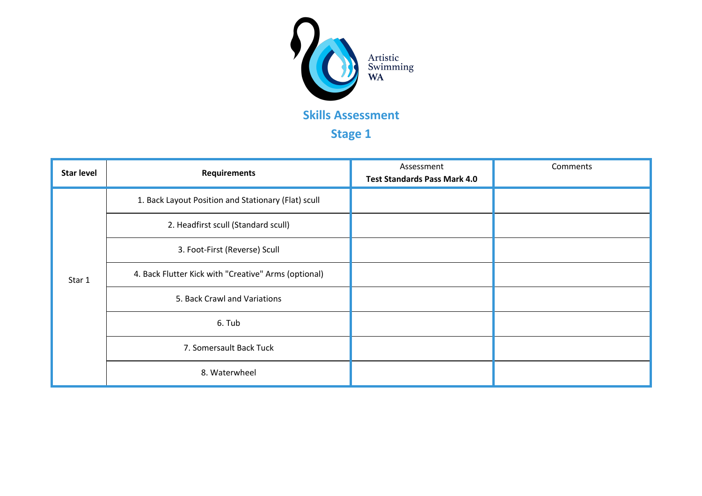

## **Stage 1**

| <b>Star level</b> | <b>Requirements</b>                                  | Assessment<br><b>Test Standards Pass Mark 4.0</b> | Comments |
|-------------------|------------------------------------------------------|---------------------------------------------------|----------|
| Star 1            | 1. Back Layout Position and Stationary (Flat) scull  |                                                   |          |
|                   | 2. Headfirst scull (Standard scull)                  |                                                   |          |
|                   | 3. Foot-First (Reverse) Scull                        |                                                   |          |
|                   | 4. Back Flutter Kick with "Creative" Arms (optional) |                                                   |          |
|                   | 5. Back Crawl and Variations                         |                                                   |          |
|                   | 6. Tub                                               |                                                   |          |
|                   | 7. Somersault Back Tuck                              |                                                   |          |
|                   | 8. Waterwheel                                        |                                                   |          |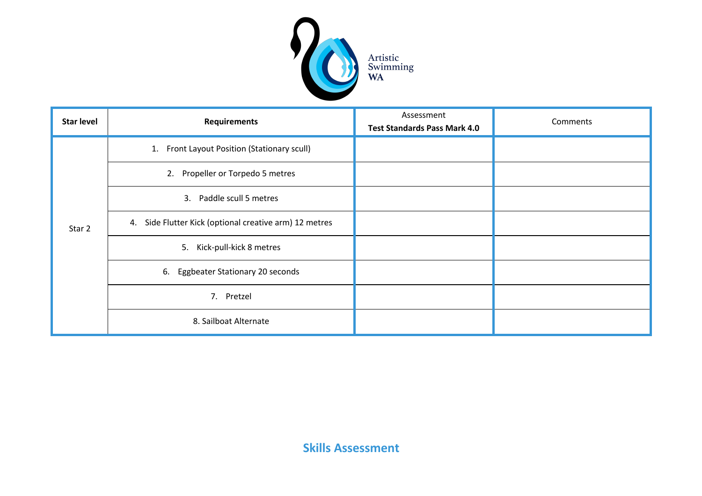

| <b>Star level</b> | <b>Requirements</b>                                    | Assessment<br><b>Test Standards Pass Mark 4.0</b> | Comments |
|-------------------|--------------------------------------------------------|---------------------------------------------------|----------|
| Star 2            | Front Layout Position (Stationary scull)<br>1.         |                                                   |          |
|                   | Propeller or Torpedo 5 metres<br>2.                    |                                                   |          |
|                   | Paddle scull 5 metres<br>3.                            |                                                   |          |
|                   | 4. Side Flutter Kick (optional creative arm) 12 metres |                                                   |          |
|                   | 5. Kick-pull-kick 8 metres                             |                                                   |          |
|                   | Eggbeater Stationary 20 seconds<br>6.                  |                                                   |          |
|                   | 7. Pretzel                                             |                                                   |          |
|                   | 8. Sailboat Alternate                                  |                                                   |          |

**Skills Assessment**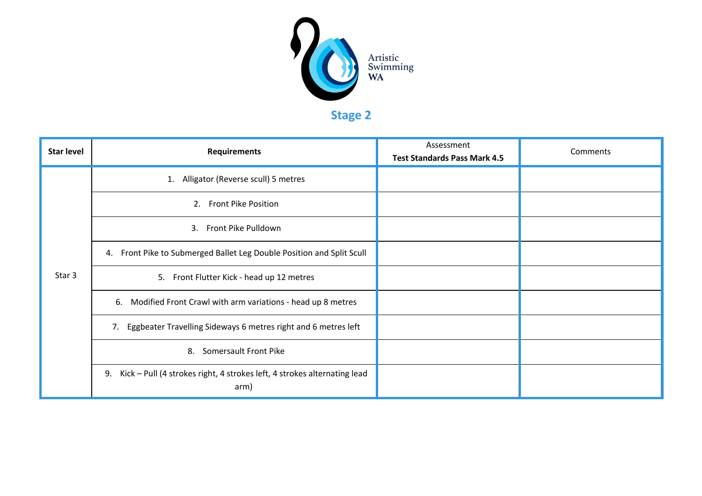

**Stage 2**

| <b>Star level</b> | <b>Requirements</b>                                                                    | Assessment<br><b>Test Standards Pass Mark 4.5</b> | Comments |
|-------------------|----------------------------------------------------------------------------------------|---------------------------------------------------|----------|
| Star 3            | 1. Alligator (Reverse scull) 5 metres                                                  |                                                   |          |
|                   | 2. Front Pike Position                                                                 |                                                   |          |
|                   | 3. Front Pike Pulldown                                                                 |                                                   |          |
|                   | Front Pike to Submerged Ballet Leg Double Position and Split Scull<br>4.               |                                                   |          |
|                   | 5. Front Flutter Kick - head up 12 metres                                              |                                                   |          |
|                   | 6. Modified Front Crawl with arm variations - head up 8 metres                         |                                                   |          |
|                   | 7. Eggbeater Travelling Sideways 6 metres right and 6 metres left                      |                                                   |          |
|                   | Somersault Front Pike<br>8.                                                            |                                                   |          |
|                   | Kick - Pull (4 strokes right, 4 strokes left, 4 strokes alternating lead<br>9.<br>arm) |                                                   |          |